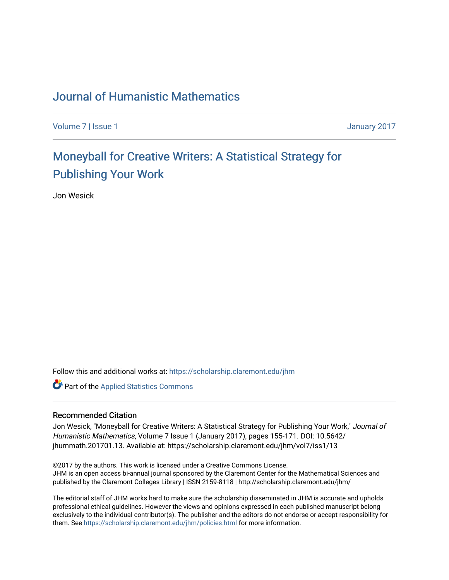## [Journal of Humanistic Mathematics](https://scholarship.claremont.edu/jhm)

[Volume 7](https://scholarship.claremont.edu/jhm/vol7) | [Issue 1](https://scholarship.claremont.edu/jhm/vol7/iss1) January 2017

# Mone[yball for Creative Writers: A Statistical Str](https://scholarship.claremont.edu/jhm/vol7/iss1/13)ategy for [Publishing Your Work](https://scholarship.claremont.edu/jhm/vol7/iss1/13)

Jon Wesick

Follow this and additional works at: [https://scholarship.claremont.edu/jhm](https://scholarship.claremont.edu/jhm?utm_source=scholarship.claremont.edu%2Fjhm%2Fvol7%2Fiss1%2F13&utm_medium=PDF&utm_campaign=PDFCoverPages)

**Part of the [Applied Statistics Commons](http://network.bepress.com/hgg/discipline/209?utm_source=scholarship.claremont.edu%2Fjhm%2Fvol7%2Fiss1%2F13&utm_medium=PDF&utm_campaign=PDFCoverPages)** 

#### Recommended Citation

Jon Wesick, "Moneyball for Creative Writers: A Statistical Strategy for Publishing Your Work," Journal of Humanistic Mathematics, Volume 7 Issue 1 (January 2017), pages 155-171. DOI: 10.5642/ jhummath.201701.13. Available at: https://scholarship.claremont.edu/jhm/vol7/iss1/13

©2017 by the authors. This work is licensed under a Creative Commons License. JHM is an open access bi-annual journal sponsored by the Claremont Center for the Mathematical Sciences and published by the Claremont Colleges Library | ISSN 2159-8118 | http://scholarship.claremont.edu/jhm/

The editorial staff of JHM works hard to make sure the scholarship disseminated in JHM is accurate and upholds professional ethical guidelines. However the views and opinions expressed in each published manuscript belong exclusively to the individual contributor(s). The publisher and the editors do not endorse or accept responsibility for them. See<https://scholarship.claremont.edu/jhm/policies.html> for more information.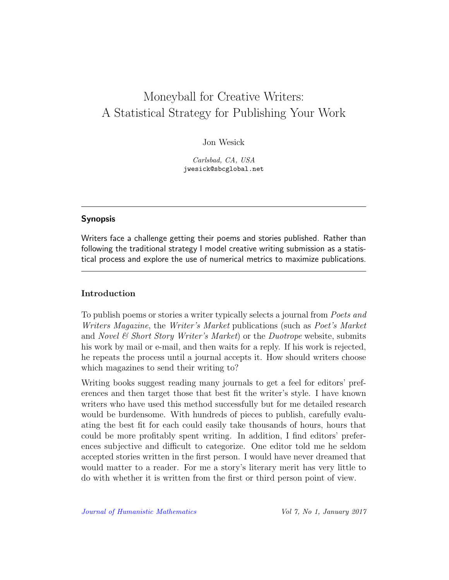## Moneyball for Creative Writers: A Statistical Strategy for Publishing Your Work

Jon Wesick

Carlsbad, CA, USA jwesick@sbcglobal.net

## Synopsis

Writers face a challenge getting their poems and stories published. Rather than following the traditional strategy I model creative writing submission as a statistical process and explore the use of numerical metrics to maximize publications.

### Introduction

To publish poems or stories a writer typically selects a journal from Poets and Writers Magazine, the Writer's Market publications (such as Poet's Market and *Novel & Short Story Writer's Market*) or the *Duotrope* website, submits his work by mail or e-mail, and then waits for a reply. If his work is rejected, he repeats the process until a journal accepts it. How should writers choose which magazines to send their writing to?

Writing books suggest reading many journals to get a feel for editors' preferences and then target those that best fit the writer's style. I have known writers who have used this method successfully but for me detailed research would be burdensome. With hundreds of pieces to publish, carefully evaluating the best fit for each could easily take thousands of hours, hours that could be more profitably spent writing. In addition, I find editors' preferences subjective and difficult to categorize. One editor told me he seldom accepted stories written in the first person. I would have never dreamed that would matter to a reader. For me a story's literary merit has very little to do with whether it is written from the first or third person point of view.

[Journal of Humanistic Mathematics](http://scholarship.claremont.edu/jhm/) Vol 7, No 1, January 2017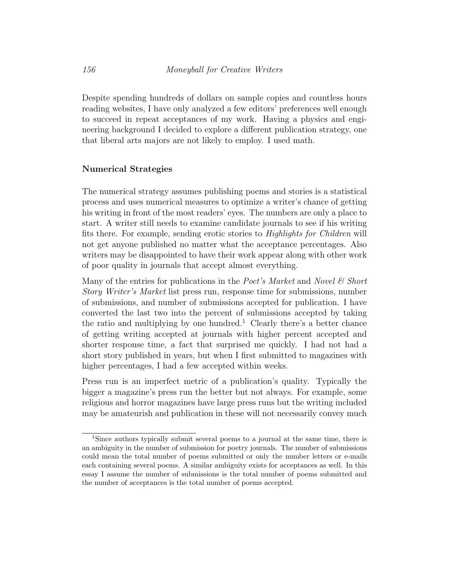Despite spending hundreds of dollars on sample copies and countless hours reading websites, I have only analyzed a few editors' preferences well enough to succeed in repeat acceptances of my work. Having a physics and engineering background I decided to explore a different publication strategy, one that liberal arts majors are not likely to employ. I used math.

#### Numerical Strategies

The numerical strategy assumes publishing poems and stories is a statistical process and uses numerical measures to optimize a writer's chance of getting his writing in front of the most readers' eyes. The numbers are only a place to start. A writer still needs to examine candidate journals to see if his writing fits there. For example, sending erotic stories to Highlights for Children will not get anyone published no matter what the acceptance percentages. Also writers may be disappointed to have their work appear along with other work of poor quality in journals that accept almost everything.

Many of the entries for publications in the Poet's Market and Novel  $\mathcal C$  Short Story Writer's Market list press run, response time for submissions, number of submissions, and number of submissions accepted for publication. I have converted the last two into the percent of submissions accepted by taking the ratio and multiplying by one hundred.<sup>[1](#page-2-0)</sup> Clearly there's a better chance of getting writing accepted at journals with higher percent accepted and shorter response time, a fact that surprised me quickly. I had not had a short story published in years, but when I first submitted to magazines with higher percentages, I had a few accepted within weeks.

Press run is an imperfect metric of a publication's quality. Typically the bigger a magazine's press run the better but not always. For example, some religious and horror magazines have large press runs but the writing included may be amateurish and publication in these will not necessarily convey much

<span id="page-2-0"></span><sup>1</sup>Since authors typically submit several poems to a journal at the same time, there is an ambiguity in the number of submission for poetry journals. The number of submissions could mean the total number of poems submitted or only the number letters or e-mails each containing several poems. A similar ambiguity exists for acceptances as well. In this essay I assume the number of submissions is the total number of poems submitted and the number of acceptances is the total number of poems accepted.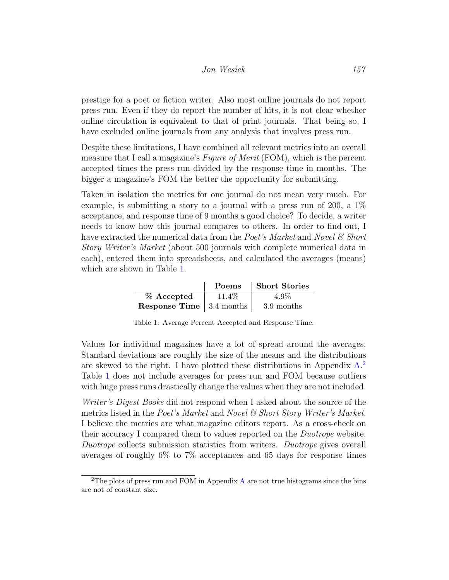### Jon Wesick 157

prestige for a poet or fiction writer. Also most online journals do not report press run. Even if they do report the number of hits, it is not clear whether online circulation is equivalent to that of print journals. That being so, I have excluded online journals from any analysis that involves press run.

Despite these limitations, I have combined all relevant metrics into an overall measure that I call a magazine's Figure of Merit (FOM), which is the percent accepted times the press run divided by the response time in months. The bigger a magazine's FOM the better the opportunity for submitting.

Taken in isolation the metrics for one journal do not mean very much. For example, is submitting a story to a journal with a press run of 200, a  $1\%$ acceptance, and response time of 9 months a good choice? To decide, a writer needs to know how this journal compares to others. In order to find out, I have extracted the numerical data from the Poet's Market and Novel  $\mathcal C$  Short Story Writer's Market (about 500 journals with complete numerical data in each), entered them into spreadsheets, and calculated the averages (means) which are shown in Table [1.](#page-3-0)

|                                         | Poems | Short Stories |
|-----------------------------------------|-------|---------------|
| % Accepted                              | 11.4% | $4.9\%$       |
| <b>Response Time</b> $\vert$ 3.4 months |       | 3.9 months    |

<span id="page-3-0"></span>Table 1: Average Percent Accepted and Response Time.

Values for individual magazines have a lot of spread around the averages. Standard deviations are roughly the size of the means and the distributions are skewed to the right. I have plotted these distributions in Appendix [A.](#page-12-0) [2](#page-3-1) Table [1](#page-3-0) does not include averages for press run and FOM because outliers with huge press runs drastically change the values when they are not included.

Writer's Digest Books did not respond when I asked about the source of the metrics listed in the Poet's Market and Novel & Short Story Writer's Market. I believe the metrics are what magazine editors report. As a cross-check on their accuracy I compared them to values reported on the Duotrope website. Duotrope collects submission statistics from writers. Duotrope gives overall averages of roughly 6% to 7% acceptances and 65 days for response times

<span id="page-3-1"></span><sup>2</sup>The plots of press run and FOM in Appendix [A](#page-12-0) are not true histograms since the bins are not of constant size.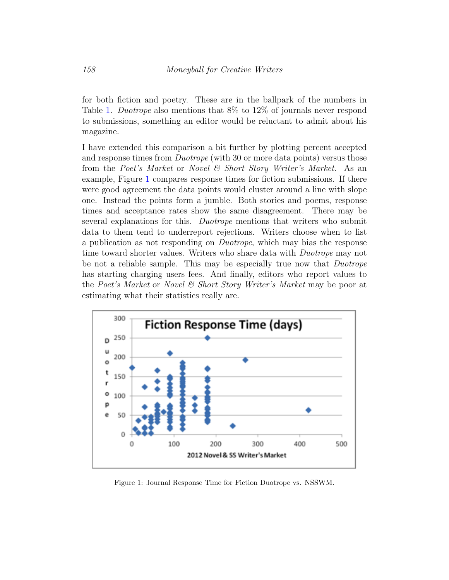for both fiction and poetry. These are in the ballpark of the numbers in Table [1.](#page-3-0) Duotrope also mentions that 8% to 12% of journals never respond to submissions, something an editor would be reluctant to admit about his magazine.

I have extended this comparison a bit further by plotting percent accepted and response times from *Duotrope* (with 30 or more data points) versus those from the Poet's Market or Novel & Short Story Writer's Market. As an example, Figure [1](#page-4-0) compares response times for fiction submissions. If there were good agreement the data points would cluster around a line with slope one. Instead the points form a jumble. Both stories and poems, response times and acceptance rates show the same disagreement. There may be several explanations for this. Duotrope mentions that writers who submit data to them tend to underreport rejections. Writers choose when to list a publication as not responding on Duotrope, which may bias the response time toward shorter values. Writers who share data with *Duotrope* may not be not a reliable sample. This may be especially true now that Duotrope has starting charging users fees. And finally, editors who report values to the Poet's Market or Novel & Short Story Writer's Market may be poor at estimating what their statistics really are.



<span id="page-4-0"></span>Figure 1: Journal Response Time for Fiction Duotrope vs. NSSWM.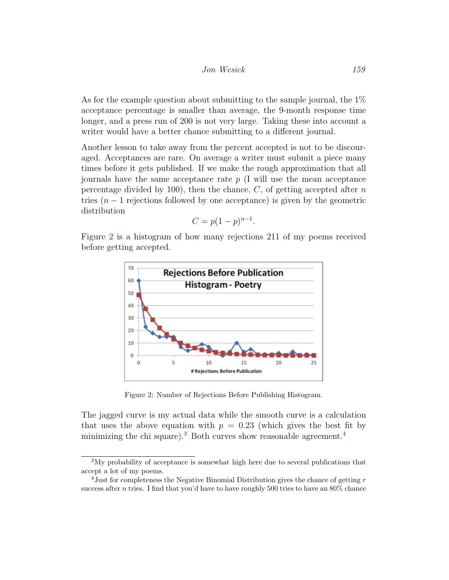As for the example question about submitting to the sample journal, the 1% acceptance percentage is smaller than average, the 9-month response time longer, and a press run of 200 is not very large. Taking these into account a writer would have a better chance submitting to a different journal.

Another lesson to take away from the percent accepted is not to be discouraged. Acceptances are rare. On average a writer must submit a piece many times before it gets published. If we make the rough approximation that all journals have the same acceptance rate p (I will use the mean acceptance percentage divided by 100), then the chance,  $C$ , of getting accepted after  $n$ tries  $(n-1)$  rejections followed by one acceptance) is given by the geometric distribution

$$
C = p(1-p)^{n-1}.
$$

Figure [2](#page-5-0) is a histogram of how many rejections 211 of my poems received before getting accepted.



<span id="page-5-0"></span>Figure 2: Number of Rejections Before Publishing Histogram.

The jagged curve is my actual data while the smooth curve is a calculation that uses the above equation with  $p = 0.23$  (which gives the best fit by minimizing the chi square).<sup>[3](#page-5-1)</sup> Both curves show reasonable agreement.<sup>[4](#page-5-2)</sup>

<span id="page-5-1"></span><sup>3</sup>My probability of acceptance is somewhat high here due to several publications that accept a lot of my poems.

<span id="page-5-2"></span> $4$ Just for completeness the Negative Binomial Distribution gives the chance of getting r success after *n* tries. I find that you'd have to have roughly 500 tries to have an  $80\%$  chance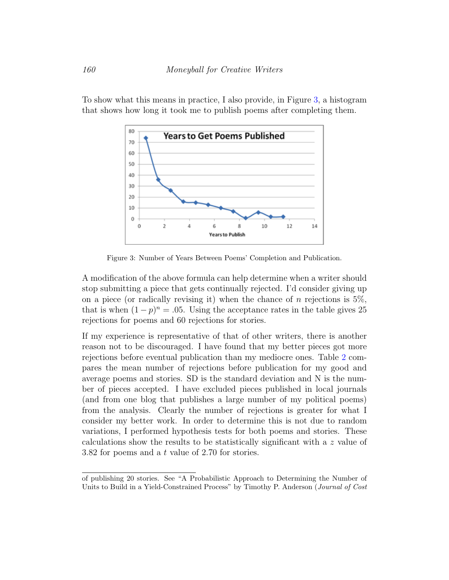To show what this means in practice, I also provide, in Figure [3,](#page-6-0) a histogram that shows how long it took me to publish poems after completing them.



<span id="page-6-0"></span>Figure 3: Number of Years Between Poems' Completion and Publication.

A modification of the above formula can help determine when a writer should stop submitting a piece that gets continually rejected. I'd consider giving up on a piece (or radically revising it) when the chance of n rejections is  $5\%$ . that is when  $(1-p)^n = .05$ . Using the acceptance rates in the table gives 25 rejections for poems and 60 rejections for stories.

If my experience is representative of that of other writers, there is another reason not to be discouraged. I have found that my better pieces got more rejections before eventual publication than my mediocre ones. Table [2](#page-7-0) compares the mean number of rejections before publication for my good and average poems and stories. SD is the standard deviation and N is the number of pieces accepted. I have excluded pieces published in local journals (and from one blog that publishes a large number of my political poems) from the analysis. Clearly the number of rejections is greater for what I consider my better work. In order to determine this is not due to random variations, I performed hypothesis tests for both poems and stories. These calculations show the results to be statistically significant with a z value of 3.82 for poems and a t value of 2.70 for stories.

of publishing 20 stories. See "A Probabilistic Approach to Determining the Number of Units to Build in a Yield-Constrained Process" by Timothy P. Anderson (Journal of Cost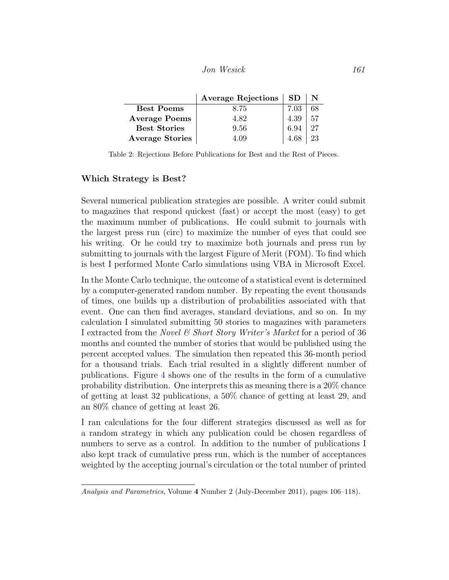Jon Wesick 161

|                        | <b>Average Rejections</b> | <b>SD</b> |    |
|------------------------|---------------------------|-----------|----|
| <b>Best Poems</b>      | 8.75                      | 7.03      | 68 |
| <b>Average Poems</b>   | 4.82                      | 4.39      | 57 |
| <b>Best Stories</b>    | 9.56                      | 6.94      | 27 |
| <b>Average Stories</b> | 4.09                      | 4 68      | 23 |

<span id="page-7-0"></span>Table 2: Rejections Before Publications for Best and the Rest of Pieces.

#### Which Strategy is Best?

Several numerical publication strategies are possible. A writer could submit to magazines that respond quickest (fast) or accept the most (easy) to get the maximum number of publications. He could submit to journals with the largest press run (circ) to maximize the number of eyes that could see his writing. Or he could try to maximize both journals and press run by submitting to journals with the largest Figure of Merit (FOM). To find which is best I performed Monte Carlo simulations using VBA in Microsoft Excel.

In the Monte Carlo technique, the outcome of a statistical event is determined by a computer-generated random number. By repeating the event thousands of times, one builds up a distribution of probabilities associated with that event. One can then find averages, standard deviations, and so on. In my calculation I simulated submitting 50 stories to magazines with parameters I extracted from the *Novel & Short Story Writer's Market* for a period of 36 months and counted the number of stories that would be published using the percent accepted values. The simulation then repeated this 36-month period for a thousand trials. Each trial resulted in a slightly different number of publications. Figure [4](#page-8-0) shows one of the results in the form of a cumulative probability distribution. One interprets this as meaning there is a 20% chance of getting at least 32 publications, a 50% chance of getting at least 29, and an 80% chance of getting at least 26.

I ran calculations for the four different strategies discussed as well as for a random strategy in which any publication could be chosen regardless of numbers to serve as a control. In addition to the number of publications I also kept track of cumulative press run, which is the number of acceptances weighted by the accepting journal's circulation or the total number of printed

Analysis and Parametrics, Volume 4 Number 2 (July-December 2011), pages 106–118).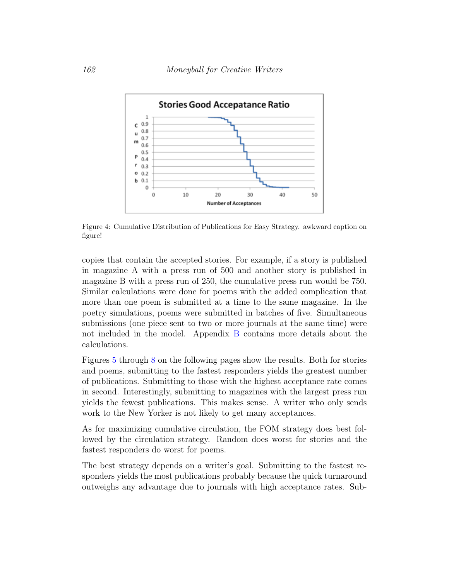

<span id="page-8-0"></span>Figure 4: Cumulative Distribution of Publications for Easy Strategy. awkward caption on figure!

copies that contain the accepted stories. For example, if a story is published in magazine A with a press run of 500 and another story is published in magazine B with a press run of 250, the cumulative press run would be 750. Similar calculations were done for poems with the added complication that more than one poem is submitted at a time to the same magazine. In the poetry simulations, poems were submitted in batches of five. Simultaneous submissions (one piece sent to two or more journals at the same time) were not included in the model. Appendix [B](#page-16-0) contains more details about the calculations.

Figures [5](#page-9-0) through [8](#page-10-0) on the following pages show the results. Both for stories and poems, submitting to the fastest responders yields the greatest number of publications. Submitting to those with the highest acceptance rate comes in second. Interestingly, submitting to magazines with the largest press run yields the fewest publications. This makes sense. A writer who only sends work to the New Yorker is not likely to get many acceptances.

As for maximizing cumulative circulation, the FOM strategy does best followed by the circulation strategy. Random does worst for stories and the fastest responders do worst for poems.

The best strategy depends on a writer's goal. Submitting to the fastest responders yields the most publications probably because the quick turnaround outweighs any advantage due to journals with high acceptance rates. Sub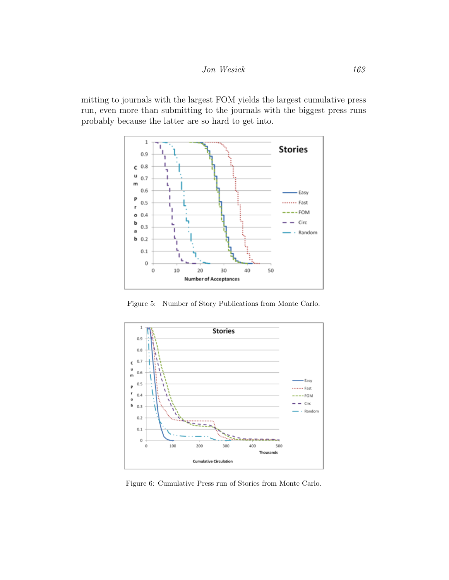mitting to journals with the largest FOM yields the largest cumulative press run, even more than submitting to the journals with the biggest press runs probably because the latter are so hard to get into.



<span id="page-9-0"></span>Figure 5: Number of Story Publications from Monte Carlo.



Figure 6: Cumulative Press run of Stories from Monte Carlo.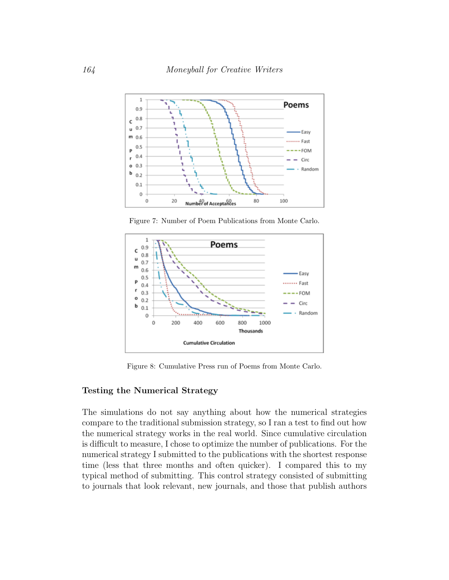

Figure 7: Number of Poem Publications from Monte Carlo.



<span id="page-10-0"></span>Figure 8: Cumulative Press run of Poems from Monte Carlo.

## Testing the Numerical Strategy

The simulations do not say anything about how the numerical strategies compare to the traditional submission strategy, so I ran a test to find out how the numerical strategy works in the real world. Since cumulative circulation is difficult to measure, I chose to optimize the number of publications. For the numerical strategy I submitted to the publications with the shortest response time (less that three months and often quicker). I compared this to my typical method of submitting. This control strategy consisted of submitting to journals that look relevant, new journals, and those that publish authors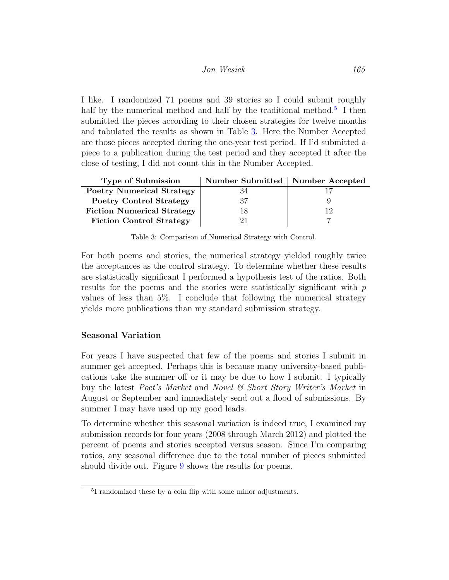I like. I randomized 71 poems and 39 stories so I could submit roughly half by the numerical method and half by the traditional method.<sup>[5](#page-11-0)</sup> I then submitted the pieces according to their chosen strategies for twelve months and tabulated the results as shown in Table [3.](#page-11-1) Here the Number Accepted are those pieces accepted during the one-year test period. If I'd submitted a piece to a publication during the test period and they accepted it after the close of testing, I did not count this in the Number Accepted.

| <b>Type of Submission</b>         | Number Submitted   Number Accepted |  |
|-----------------------------------|------------------------------------|--|
| <b>Poetry Numerical Strategy</b>  |                                    |  |
| <b>Poetry Control Strategy</b>    | 37                                 |  |
| <b>Fiction Numerical Strategy</b> | 18                                 |  |
| <b>Fiction Control Strategy</b>   |                                    |  |

<span id="page-11-1"></span>Table 3: Comparison of Numerical Strategy with Control.

For both poems and stories, the numerical strategy yielded roughly twice the acceptances as the control strategy. To determine whether these results are statistically significant I performed a hypothesis test of the ratios. Both results for the poems and the stories were statistically significant with  $p$ values of less than 5%. I conclude that following the numerical strategy yields more publications than my standard submission strategy.

## Seasonal Variation

For years I have suspected that few of the poems and stories I submit in summer get accepted. Perhaps this is because many university-based publications take the summer off or it may be due to how I submit. I typically buy the latest Poet's Market and Novel & Short Story Writer's Market in August or September and immediately send out a flood of submissions. By summer I may have used up my good leads.

To determine whether this seasonal variation is indeed true, I examined my submission records for four years (2008 through March 2012) and plotted the percent of poems and stories accepted versus season. Since I'm comparing ratios, any seasonal difference due to the total number of pieces submitted should divide out. Figure [9](#page-12-1) shows the results for poems.

<span id="page-11-0"></span><sup>5</sup> I randomized these by a coin flip with some minor adjustments.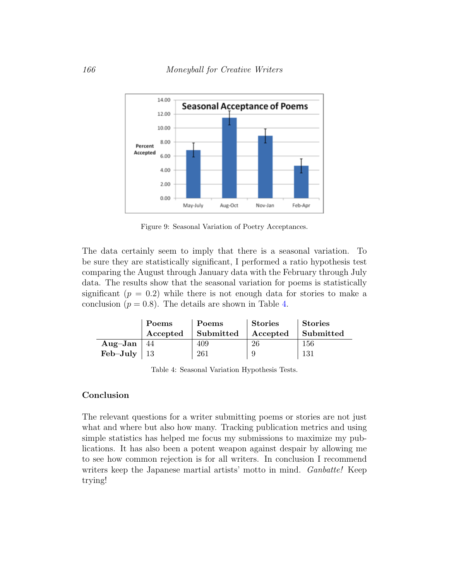

<span id="page-12-1"></span>Figure 9: Seasonal Variation of Poetry Acceptances.

The data certainly seem to imply that there is a seasonal variation. To be sure they are statistically significant, I performed a ratio hypothesis test comparing the August through January data with the February through July data. The results show that the seasonal variation for poems is statistically significant  $(p = 0.2)$  while there is not enough data for stories to make a conclusion  $(p = 0.8)$ . The details are shown in Table [4.](#page-12-2)

|                     | <b>Poems</b> | Poems     | Stories  | Stories   |
|---------------------|--------------|-----------|----------|-----------|
|                     | Accepted     | Submitted | Accepted | Submitted |
| Aug-Jan $ 44$       |              | 409       | -26      | 156       |
| Feb–July $\vert$ 13 |              | 261       | 9        | 131       |

<span id="page-12-2"></span>Table 4: Seasonal Variation Hypothesis Tests.

#### Conclusion

<span id="page-12-0"></span>The relevant questions for a writer submitting poems or stories are not just what and where but also how many. Tracking publication metrics and using simple statistics has helped me focus my submissions to maximize my publications. It has also been a potent weapon against despair by allowing me to see how common rejection is for all writers. In conclusion I recommend writers keep the Japanese martial artists' motto in mind. *Ganbatte!* Keep trying!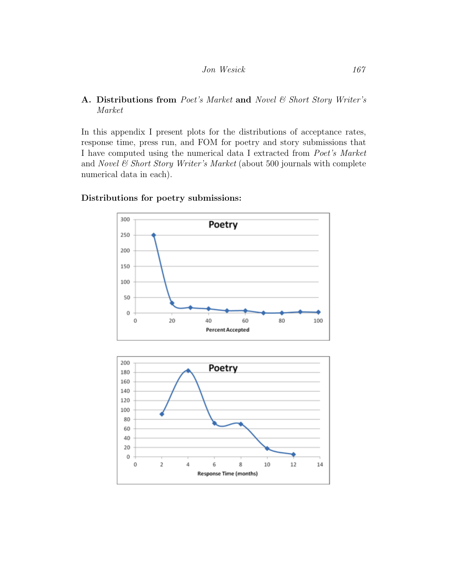## A. Distributions from Poet's Market and Novel  $\mathcal B$  Short Story Writer's Market

In this appendix I present plots for the distributions of acceptance rates, response time, press run, and FOM for poetry and story submissions that I have computed using the numerical data I extracted from Poet's Market and Novel  $\mathcal B$  Short Story Writer's Market (about 500 journals with complete numerical data in each).



## Distributions for poetry submissions:

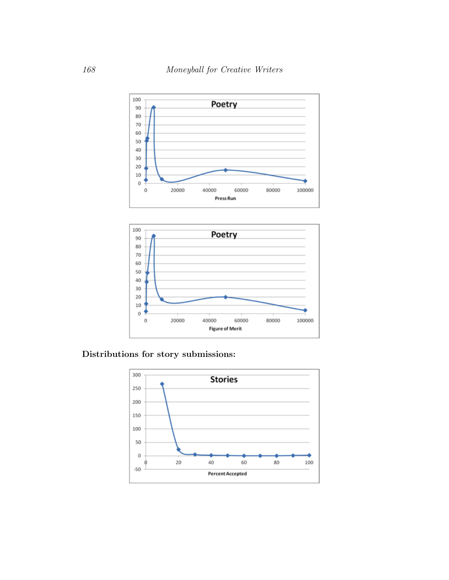



Distributions for story submissions:

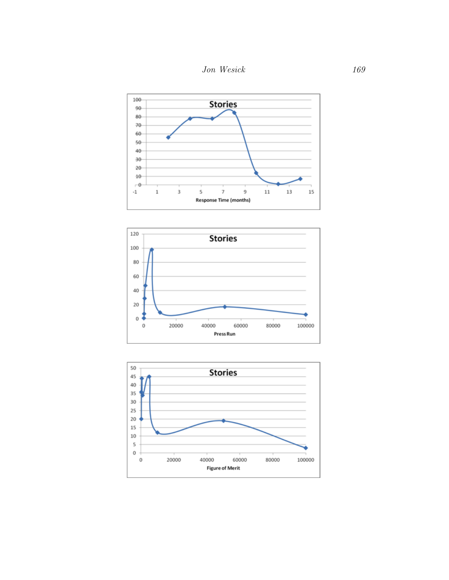





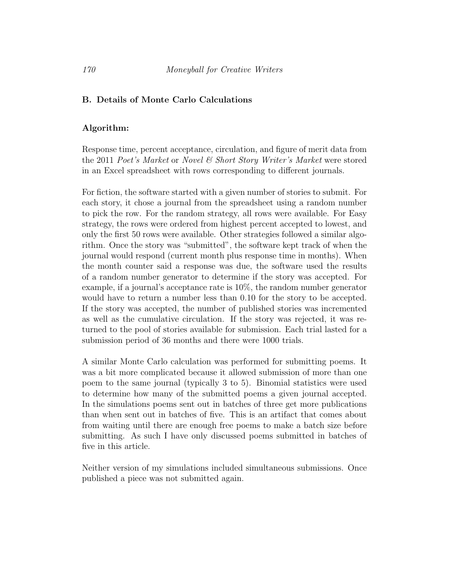#### <span id="page-16-0"></span>B. Details of Monte Carlo Calculations

#### Algorithm:

Response time, percent acceptance, circulation, and figure of merit data from the 2011 Poet's Market or Novel & Short Story Writer's Market were stored in an Excel spreadsheet with rows corresponding to different journals.

For fiction, the software started with a given number of stories to submit. For each story, it chose a journal from the spreadsheet using a random number to pick the row. For the random strategy, all rows were available. For Easy strategy, the rows were ordered from highest percent accepted to lowest, and only the first 50 rows were available. Other strategies followed a similar algorithm. Once the story was "submitted", the software kept track of when the journal would respond (current month plus response time in months). When the month counter said a response was due, the software used the results of a random number generator to determine if the story was accepted. For example, if a journal's acceptance rate is 10%, the random number generator would have to return a number less than 0.10 for the story to be accepted. If the story was accepted, the number of published stories was incremented as well as the cumulative circulation. If the story was rejected, it was returned to the pool of stories available for submission. Each trial lasted for a submission period of 36 months and there were 1000 trials.

A similar Monte Carlo calculation was performed for submitting poems. It was a bit more complicated because it allowed submission of more than one poem to the same journal (typically 3 to 5). Binomial statistics were used to determine how many of the submitted poems a given journal accepted. In the simulations poems sent out in batches of three get more publications than when sent out in batches of five. This is an artifact that comes about from waiting until there are enough free poems to make a batch size before submitting. As such I have only discussed poems submitted in batches of five in this article.

Neither version of my simulations included simultaneous submissions. Once published a piece was not submitted again.